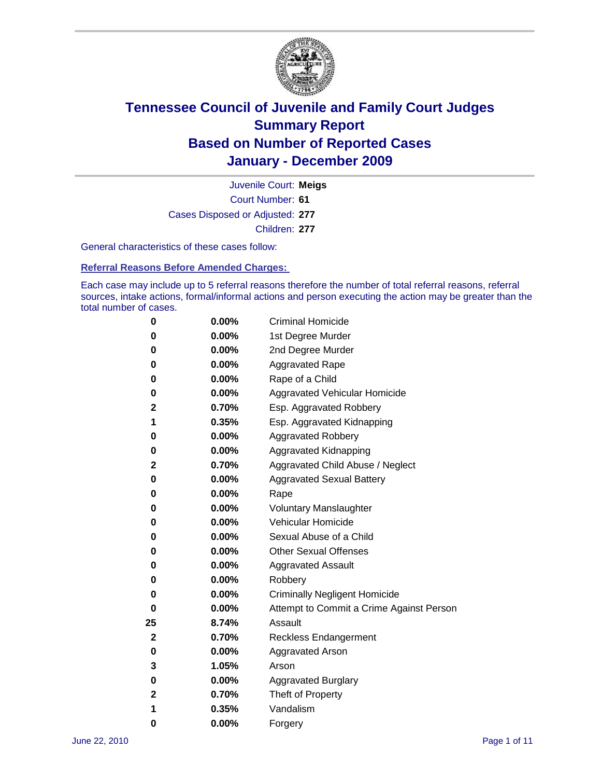

Court Number: **61** Juvenile Court: **Meigs** Cases Disposed or Adjusted: **277** Children: **277**

General characteristics of these cases follow:

**Referral Reasons Before Amended Charges:** 

Each case may include up to 5 referral reasons therefore the number of total referral reasons, referral sources, intake actions, formal/informal actions and person executing the action may be greater than the total number of cases.

| 0  | 0.00%    | <b>Criminal Homicide</b>                 |  |  |
|----|----------|------------------------------------------|--|--|
| 0  | 0.00%    | 1st Degree Murder                        |  |  |
| 0  | 0.00%    | 2nd Degree Murder                        |  |  |
| 0  | 0.00%    | <b>Aggravated Rape</b>                   |  |  |
| 0  | 0.00%    | Rape of a Child                          |  |  |
| 0  | 0.00%    | Aggravated Vehicular Homicide            |  |  |
| 2  | 0.70%    | Esp. Aggravated Robbery                  |  |  |
| 1  | 0.35%    | Esp. Aggravated Kidnapping               |  |  |
| 0  | 0.00%    | <b>Aggravated Robbery</b>                |  |  |
| 0  | 0.00%    | Aggravated Kidnapping                    |  |  |
| 2  | 0.70%    | Aggravated Child Abuse / Neglect         |  |  |
| 0  | $0.00\%$ | <b>Aggravated Sexual Battery</b>         |  |  |
| 0  | 0.00%    | Rape                                     |  |  |
| 0  | $0.00\%$ | <b>Voluntary Manslaughter</b>            |  |  |
| 0  | 0.00%    | Vehicular Homicide                       |  |  |
| 0  | 0.00%    | Sexual Abuse of a Child                  |  |  |
| 0  | 0.00%    | <b>Other Sexual Offenses</b>             |  |  |
| 0  | 0.00%    | <b>Aggravated Assault</b>                |  |  |
| 0  | $0.00\%$ | Robbery                                  |  |  |
| 0  | 0.00%    | <b>Criminally Negligent Homicide</b>     |  |  |
| 0  | 0.00%    | Attempt to Commit a Crime Against Person |  |  |
| 25 | 8.74%    | Assault                                  |  |  |
| 2  | 0.70%    | <b>Reckless Endangerment</b>             |  |  |
| 0  | 0.00%    | <b>Aggravated Arson</b>                  |  |  |
| 3  | 1.05%    | Arson                                    |  |  |
| 0  | 0.00%    | <b>Aggravated Burglary</b>               |  |  |
| 2  | 0.70%    | Theft of Property                        |  |  |
| 1  | 0.35%    | Vandalism                                |  |  |
| 0  | 0.00%    | Forgery                                  |  |  |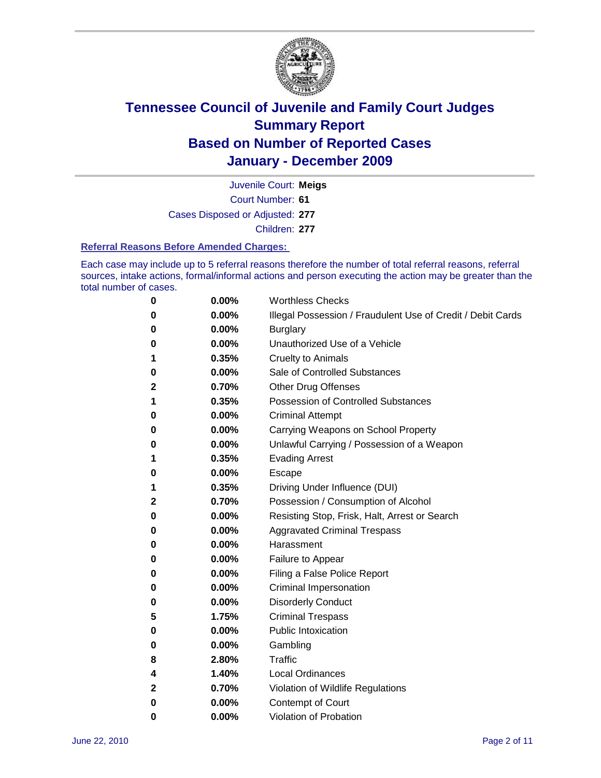

Court Number: **61** Juvenile Court: **Meigs** Cases Disposed or Adjusted: **277** Children: **277**

#### **Referral Reasons Before Amended Charges:**

Each case may include up to 5 referral reasons therefore the number of total referral reasons, referral sources, intake actions, formal/informal actions and person executing the action may be greater than the total number of cases.

| 0            | 0.00%    | <b>Worthless Checks</b>                                     |
|--------------|----------|-------------------------------------------------------------|
| 0            | 0.00%    | Illegal Possession / Fraudulent Use of Credit / Debit Cards |
| 0            | 0.00%    | <b>Burglary</b>                                             |
| 0            | $0.00\%$ | Unauthorized Use of a Vehicle                               |
| 1            | 0.35%    | <b>Cruelty to Animals</b>                                   |
| 0            | 0.00%    | Sale of Controlled Substances                               |
| $\mathbf{2}$ | 0.70%    | <b>Other Drug Offenses</b>                                  |
| 1            | 0.35%    | <b>Possession of Controlled Substances</b>                  |
| 0            | 0.00%    | <b>Criminal Attempt</b>                                     |
| 0            | 0.00%    | Carrying Weapons on School Property                         |
| 0            | 0.00%    | Unlawful Carrying / Possession of a Weapon                  |
| 1            | 0.35%    | <b>Evading Arrest</b>                                       |
| 0            | $0.00\%$ | Escape                                                      |
| 1            | 0.35%    | Driving Under Influence (DUI)                               |
| $\mathbf{2}$ | 0.70%    | Possession / Consumption of Alcohol                         |
| 0            | $0.00\%$ | Resisting Stop, Frisk, Halt, Arrest or Search               |
| 0            | $0.00\%$ | <b>Aggravated Criminal Trespass</b>                         |
| 0            | $0.00\%$ | Harassment                                                  |
| 0            | 0.00%    | Failure to Appear                                           |
| 0            | 0.00%    | Filing a False Police Report                                |
| 0            | 0.00%    | Criminal Impersonation                                      |
| 0            | 0.00%    | <b>Disorderly Conduct</b>                                   |
| 5            | 1.75%    | <b>Criminal Trespass</b>                                    |
| 0            | 0.00%    | <b>Public Intoxication</b>                                  |
| 0            | $0.00\%$ | Gambling                                                    |
| 8            | 2.80%    | Traffic                                                     |
| 4            | 1.40%    | <b>Local Ordinances</b>                                     |
| 2            | 0.70%    | Violation of Wildlife Regulations                           |
| 0            | $0.00\%$ | Contempt of Court                                           |
| 0            | 0.00%    | Violation of Probation                                      |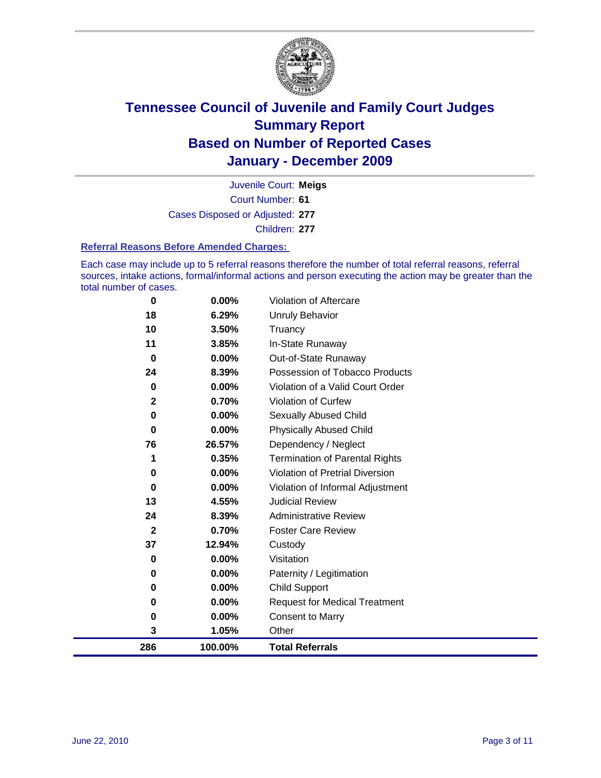

Court Number: **61** Juvenile Court: **Meigs** Cases Disposed or Adjusted: **277** Children: **277**

#### **Referral Reasons Before Amended Charges:**

Each case may include up to 5 referral reasons therefore the number of total referral reasons, referral sources, intake actions, formal/informal actions and person executing the action may be greater than the total number of cases.

| 0            | 0.00%   | Violation of Aftercare                 |
|--------------|---------|----------------------------------------|
| 18           | 6.29%   | Unruly Behavior                        |
| 10           | 3.50%   | Truancy                                |
| 11           | 3.85%   | In-State Runaway                       |
| 0            | 0.00%   | Out-of-State Runaway                   |
| 24           | 8.39%   | Possession of Tobacco Products         |
| $\bf{0}$     | 0.00%   | Violation of a Valid Court Order       |
| $\mathbf{2}$ | 0.70%   | Violation of Curfew                    |
| $\mathbf 0$  | 0.00%   | <b>Sexually Abused Child</b>           |
| $\bf{0}$     | 0.00%   | <b>Physically Abused Child</b>         |
| 76           | 26.57%  | Dependency / Neglect                   |
| 1            | 0.35%   | <b>Termination of Parental Rights</b>  |
| 0            | 0.00%   | <b>Violation of Pretrial Diversion</b> |
| 0            | 0.00%   | Violation of Informal Adjustment       |
| 13           | 4.55%   | <b>Judicial Review</b>                 |
| 24           | 8.39%   | <b>Administrative Review</b>           |
| $\mathbf{2}$ | 0.70%   | <b>Foster Care Review</b>              |
| 37           | 12.94%  | Custody                                |
| 0            | 0.00%   | Visitation                             |
| 0            | 0.00%   | Paternity / Legitimation               |
| 0            | 0.00%   | Child Support                          |
| 0            | 0.00%   | <b>Request for Medical Treatment</b>   |
| 0            | 0.00%   | <b>Consent to Marry</b>                |
| 3            | 1.05%   | Other                                  |
| 286          | 100.00% | <b>Total Referrals</b>                 |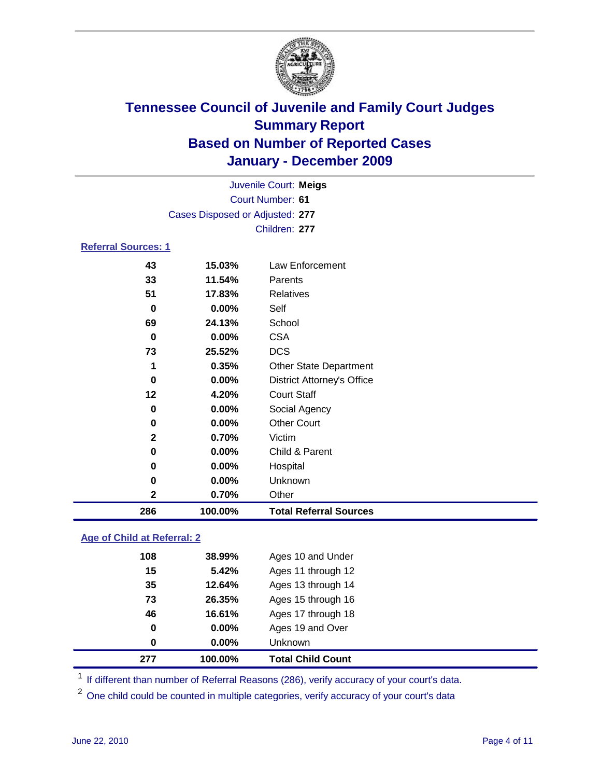

| Juvenile Court: Meigs           |         |                                   |  |  |
|---------------------------------|---------|-----------------------------------|--|--|
|                                 |         | Court Number: 61                  |  |  |
| Cases Disposed or Adjusted: 277 |         |                                   |  |  |
| Children: 277                   |         |                                   |  |  |
| <b>Referral Sources: 1</b>      |         |                                   |  |  |
| 43                              | 15.03%  | Law Enforcement                   |  |  |
| 33                              | 11.54%  | Parents                           |  |  |
| 51                              | 17.83%  | Relatives                         |  |  |
| 0                               | 0.00%   | Self                              |  |  |
| 69                              | 24.13%  | School                            |  |  |
| 0                               | 0.00%   | <b>CSA</b>                        |  |  |
| 73                              | 25.52%  | <b>DCS</b>                        |  |  |
| 1                               | 0.35%   | <b>Other State Department</b>     |  |  |
| 0                               | 0.00%   | <b>District Attorney's Office</b> |  |  |
| 12                              | 4.20%   | <b>Court Staff</b>                |  |  |
| 0                               | 0.00%   | Social Agency                     |  |  |
| 0                               | 0.00%   | <b>Other Court</b>                |  |  |
| 2                               | 0.70%   | Victim                            |  |  |
| 0                               | 0.00%   | Child & Parent                    |  |  |
| 0                               | 0.00%   | Hospital                          |  |  |
| $\bf{0}$                        | 0.00%   | Unknown                           |  |  |
| 2                               | 0.70%   | Other                             |  |  |
| 286                             | 100.00% | <b>Total Referral Sources</b>     |  |  |

### **Age of Child at Referral: 2**

| 277 | 100.00% | <b>Total Child Count</b> |
|-----|---------|--------------------------|
| 0   | 0.00%   | <b>Unknown</b>           |
| 0   | 0.00%   | Ages 19 and Over         |
| 46  | 16.61%  | Ages 17 through 18       |
| 73  | 26.35%  | Ages 15 through 16       |
| 35  | 12.64%  | Ages 13 through 14       |
| 15  | 5.42%   | Ages 11 through 12       |
| 108 | 38.99%  | Ages 10 and Under        |
|     |         |                          |

<sup>1</sup> If different than number of Referral Reasons (286), verify accuracy of your court's data.

<sup>2</sup> One child could be counted in multiple categories, verify accuracy of your court's data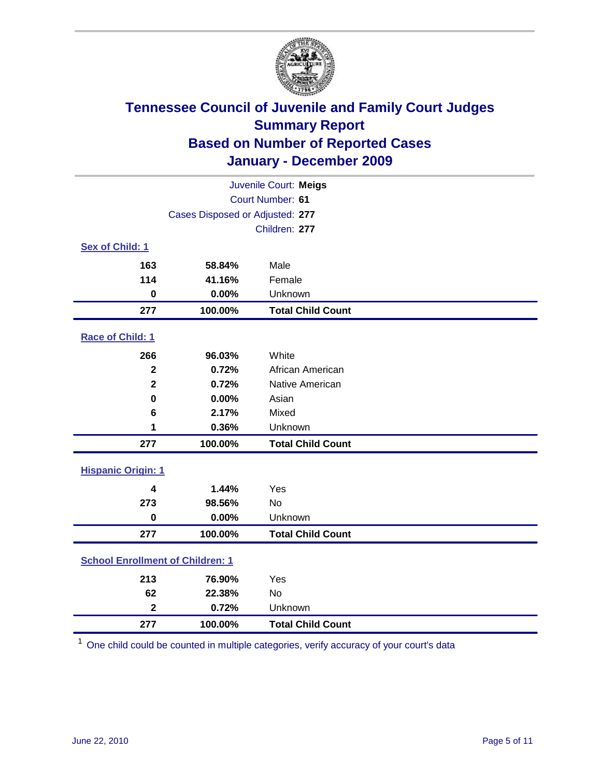

| Juvenile Court: Meigs                   |                                 |                          |  |  |  |
|-----------------------------------------|---------------------------------|--------------------------|--|--|--|
| Court Number: 61                        |                                 |                          |  |  |  |
|                                         | Cases Disposed or Adjusted: 277 |                          |  |  |  |
|                                         |                                 | Children: 277            |  |  |  |
| Sex of Child: 1                         |                                 |                          |  |  |  |
| 163                                     | 58.84%                          | Male                     |  |  |  |
| 114                                     | 41.16%                          | Female                   |  |  |  |
| $\mathbf 0$                             | 0.00%                           | Unknown                  |  |  |  |
| 277                                     | 100.00%                         | <b>Total Child Count</b> |  |  |  |
| Race of Child: 1                        |                                 |                          |  |  |  |
| 266                                     | 96.03%                          | White                    |  |  |  |
| $\mathbf{2}$                            | 0.72%                           | African American         |  |  |  |
| $\overline{\mathbf{2}}$                 | 0.72%                           | Native American          |  |  |  |
| 0                                       | 0.00%                           | Asian                    |  |  |  |
| 6                                       | 2.17%                           | Mixed                    |  |  |  |
| 1                                       | 0.36%                           | Unknown                  |  |  |  |
| 277                                     | 100.00%                         | <b>Total Child Count</b> |  |  |  |
| <b>Hispanic Origin: 1</b>               |                                 |                          |  |  |  |
| 4                                       | 1.44%                           | Yes                      |  |  |  |
| 273                                     | 98.56%                          | No                       |  |  |  |
| $\mathbf 0$                             | 0.00%                           | Unknown                  |  |  |  |
| 277                                     | 100.00%                         | <b>Total Child Count</b> |  |  |  |
| <b>School Enrollment of Children: 1</b> |                                 |                          |  |  |  |
| 213                                     | 76.90%                          | Yes                      |  |  |  |
| 62                                      | 22.38%                          | No                       |  |  |  |
| $\overline{\mathbf{2}}$                 | 0.72%                           | Unknown                  |  |  |  |
| 277                                     | 100.00%                         | <b>Total Child Count</b> |  |  |  |

One child could be counted in multiple categories, verify accuracy of your court's data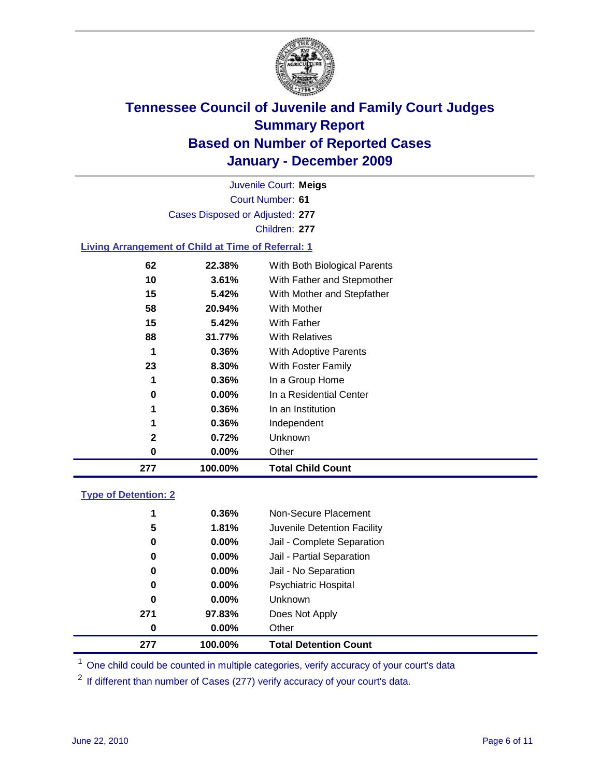

Court Number: **61** Juvenile Court: **Meigs** Cases Disposed or Adjusted: **277** Children: **277**

### **Living Arrangement of Child at Time of Referral: 1**

| 277 | 100.00%  | <b>Total Child Count</b>     |
|-----|----------|------------------------------|
| 0   | $0.00\%$ | Other                        |
| 2   | 0.72%    | Unknown                      |
| 1   | 0.36%    | Independent                  |
| 1   | 0.36%    | In an Institution            |
| 0   | $0.00\%$ | In a Residential Center      |
| 1   | 0.36%    | In a Group Home              |
| 23  | 8.30%    | With Foster Family           |
| 1   | 0.36%    | With Adoptive Parents        |
| 88  | 31.77%   | <b>With Relatives</b>        |
| 15  | 5.42%    | With Father                  |
| 58  | 20.94%   | With Mother                  |
| 15  | 5.42%    | With Mother and Stepfather   |
| 10  | 3.61%    | With Father and Stepmother   |
| 62  | 22.38%   | With Both Biological Parents |
|     |          |                              |

### **Type of Detention: 2**

| 277 | 100.00%  | <b>Total Detention Count</b> |  |
|-----|----------|------------------------------|--|
| 0   | $0.00\%$ | Other                        |  |
| 271 | 97.83%   | Does Not Apply               |  |
| 0   | $0.00\%$ | <b>Unknown</b>               |  |
| 0   | 0.00%    | <b>Psychiatric Hospital</b>  |  |
| 0   | 0.00%    | Jail - No Separation         |  |
| 0   | $0.00\%$ | Jail - Partial Separation    |  |
| 0   | $0.00\%$ | Jail - Complete Separation   |  |
| 5   | 1.81%    | Juvenile Detention Facility  |  |
| 1   | $0.36\%$ | Non-Secure Placement         |  |
|     |          |                              |  |

<sup>1</sup> One child could be counted in multiple categories, verify accuracy of your court's data

<sup>2</sup> If different than number of Cases (277) verify accuracy of your court's data.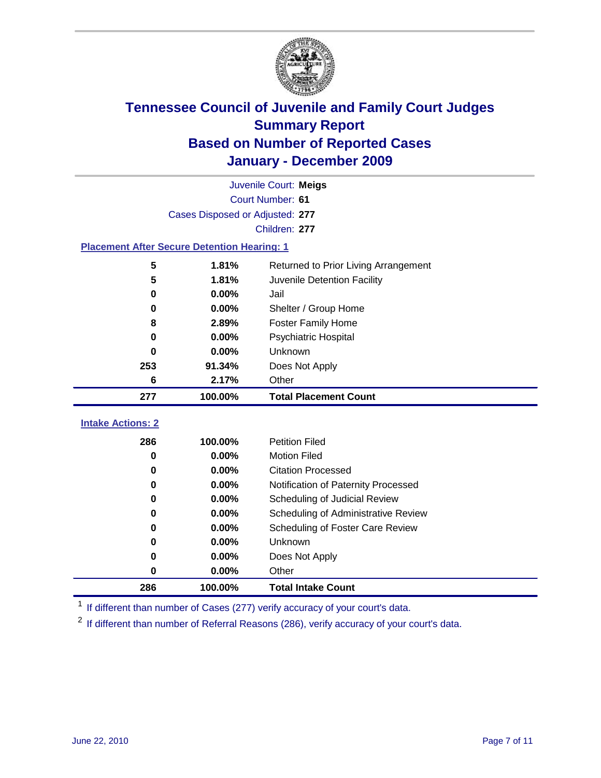

|                                                    | Juvenile Court: Meigs           |                                              |  |  |  |
|----------------------------------------------------|---------------------------------|----------------------------------------------|--|--|--|
|                                                    | Court Number: 61                |                                              |  |  |  |
|                                                    | Cases Disposed or Adjusted: 277 |                                              |  |  |  |
|                                                    |                                 | Children: 277                                |  |  |  |
| <b>Placement After Secure Detention Hearing: 1</b> |                                 |                                              |  |  |  |
| 5                                                  | 1.81%                           | Returned to Prior Living Arrangement         |  |  |  |
| 5                                                  | 1.81%                           | Juvenile Detention Facility                  |  |  |  |
| 0                                                  | 0.00%                           | Jail                                         |  |  |  |
| 0                                                  | 0.00%                           | Shelter / Group Home                         |  |  |  |
| 8                                                  | 2.89%                           | <b>Foster Family Home</b>                    |  |  |  |
| 0                                                  | 0.00%                           | Psychiatric Hospital                         |  |  |  |
| $\bf{0}$                                           | 0.00%                           | Unknown                                      |  |  |  |
| 253                                                | 91.34%                          | Does Not Apply                               |  |  |  |
| 6                                                  | 2.17%                           | Other                                        |  |  |  |
| 277                                                | 100.00%                         | <b>Total Placement Count</b>                 |  |  |  |
|                                                    |                                 |                                              |  |  |  |
|                                                    |                                 |                                              |  |  |  |
| <b>Intake Actions: 2</b>                           |                                 |                                              |  |  |  |
| 286<br>0                                           | 100.00%                         | <b>Petition Filed</b><br><b>Motion Filed</b> |  |  |  |
| 0                                                  | 0.00%<br>0.00%                  | <b>Citation Processed</b>                    |  |  |  |
| 0                                                  | 0.00%                           | Notification of Paternity Processed          |  |  |  |
| 0                                                  | 0.00%                           | Scheduling of Judicial Review                |  |  |  |
| 0                                                  | 0.00%                           | Scheduling of Administrative Review          |  |  |  |
| 0                                                  | 0.00%                           | Scheduling of Foster Care Review             |  |  |  |
| 0                                                  | 0.00%                           | Unknown                                      |  |  |  |
| 0                                                  | 0.00%                           | Does Not Apply                               |  |  |  |
| 0                                                  | 0.00%                           | Other                                        |  |  |  |

<sup>1</sup> If different than number of Cases (277) verify accuracy of your court's data.

<sup>2</sup> If different than number of Referral Reasons (286), verify accuracy of your court's data.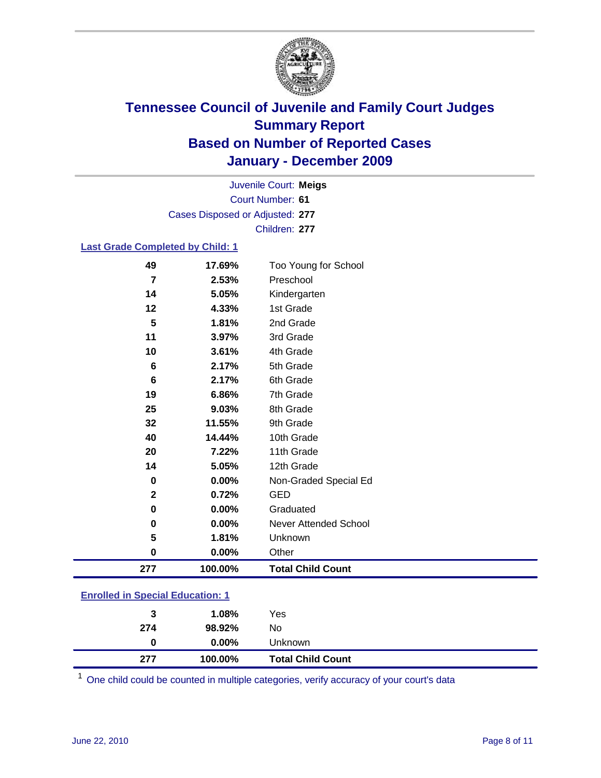

Court Number: **61** Juvenile Court: **Meigs** Cases Disposed or Adjusted: **277** Children: **277**

#### **Last Grade Completed by Child: 1**

| 277                     | 100.00% | <b>Total Child Count</b> |
|-------------------------|---------|--------------------------|
| 0                       | 0.00%   | Other                    |
| 5                       | 1.81%   | Unknown                  |
| 0                       | 0.00%   | Never Attended School    |
| 0                       | 0.00%   | Graduated                |
| 2                       | 0.72%   | <b>GED</b>               |
| 0                       | 0.00%   | Non-Graded Special Ed    |
| 14                      | 5.05%   | 12th Grade               |
| 20                      | 7.22%   | 11th Grade               |
| 40                      | 14.44%  | 10th Grade               |
| 32                      | 11.55%  | 9th Grade                |
| 25                      | 9.03%   | 8th Grade                |
| 19                      | 6.86%   | 7th Grade                |
| 6                       | 2.17%   | 6th Grade                |
| 6                       | 2.17%   | 5th Grade                |
| 10                      | 3.61%   | 4th Grade                |
| 11                      | 3.97%   | 3rd Grade                |
| 5                       | 1.81%   | 2nd Grade                |
| 12                      | 4.33%   | 1st Grade                |
| 14                      | 5.05%   | Kindergarten             |
| $\overline{\mathbf{r}}$ | 2.53%   | Preschool                |
| 49                      | 17.69%  | Too Young for School     |

### **Enrolled in Special Education: 1**

| 3   | 1.08%    | Yes                      |
|-----|----------|--------------------------|
| 274 | 98.92%   | No                       |
|     | $0.00\%$ | Unknown                  |
| 277 | 100.00%  | <b>Total Child Count</b> |

One child could be counted in multiple categories, verify accuracy of your court's data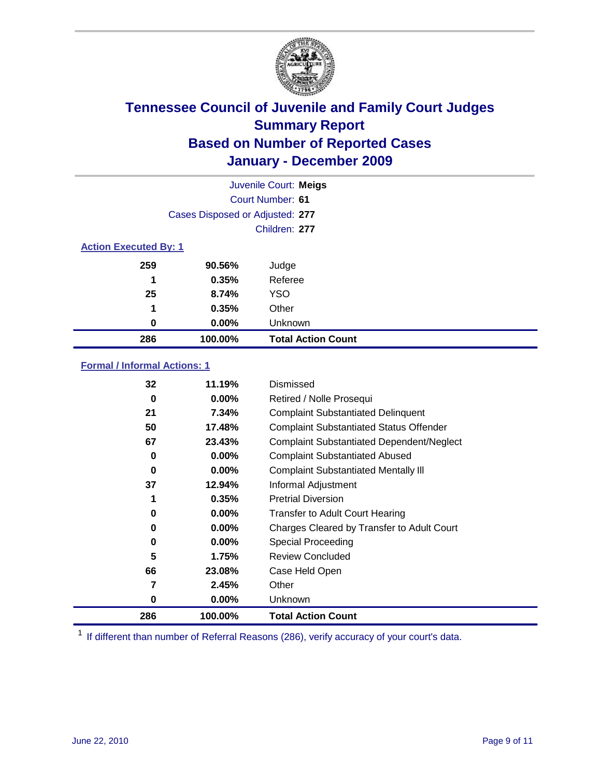

| Juvenile Court: Meigs        |                                 |                           |  |  |
|------------------------------|---------------------------------|---------------------------|--|--|
|                              | Court Number: 61                |                           |  |  |
|                              | Cases Disposed or Adjusted: 277 |                           |  |  |
|                              | Children: 277                   |                           |  |  |
| <b>Action Executed By: 1</b> |                                 |                           |  |  |
| 259                          | 90.56%                          | Judge                     |  |  |
| 1                            | 0.35%                           | Referee                   |  |  |
| 25                           | 8.74%                           | <b>YSO</b>                |  |  |
| 1                            | 0.35%                           | Other                     |  |  |
| 0                            | $0.00\%$                        | Unknown                   |  |  |
| 286                          | 100.00%                         | <b>Total Action Count</b> |  |  |

### **Formal / Informal Actions: 1**

| 32       | 11.19%   | Dismissed                                        |
|----------|----------|--------------------------------------------------|
| 0        | $0.00\%$ | Retired / Nolle Prosequi                         |
| 21       | 7.34%    | <b>Complaint Substantiated Delinquent</b>        |
| 50       | 17.48%   | <b>Complaint Substantiated Status Offender</b>   |
| 67       | 23.43%   | <b>Complaint Substantiated Dependent/Neglect</b> |
| 0        | $0.00\%$ | <b>Complaint Substantiated Abused</b>            |
| $\bf{0}$ | $0.00\%$ | <b>Complaint Substantiated Mentally III</b>      |
| 37       | 12.94%   | Informal Adjustment                              |
| 1        | 0.35%    | <b>Pretrial Diversion</b>                        |
| 0        | $0.00\%$ | <b>Transfer to Adult Court Hearing</b>           |
| 0        | $0.00\%$ | Charges Cleared by Transfer to Adult Court       |
| 0        | $0.00\%$ | Special Proceeding                               |
| 5        | 1.75%    | <b>Review Concluded</b>                          |
| 66       | 23.08%   | Case Held Open                                   |
| 7        | 2.45%    | Other                                            |
| 0        | $0.00\%$ | <b>Unknown</b>                                   |
| 286      | 100.00%  | <b>Total Action Count</b>                        |

<sup>1</sup> If different than number of Referral Reasons (286), verify accuracy of your court's data.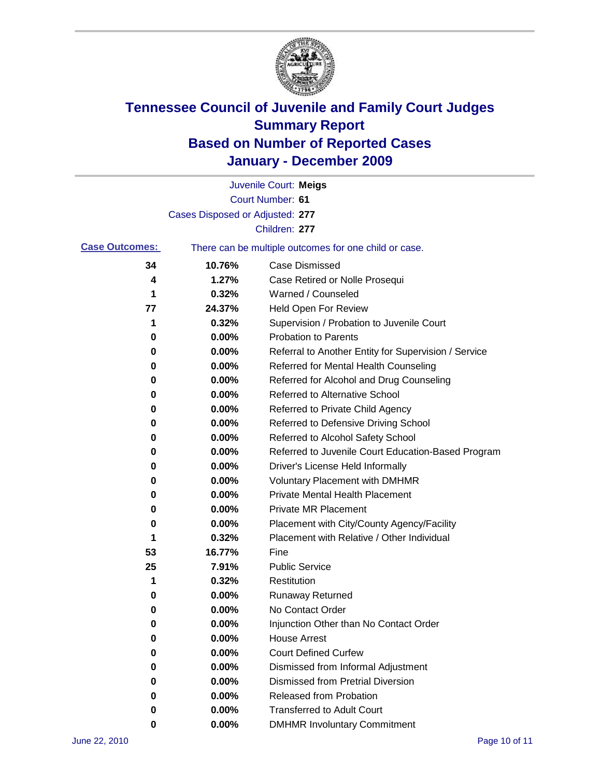

|                       |                                 | Juvenile Court: Meigs                                 |
|-----------------------|---------------------------------|-------------------------------------------------------|
|                       |                                 | Court Number: 61                                      |
|                       | Cases Disposed or Adjusted: 277 |                                                       |
|                       |                                 | Children: 277                                         |
| <b>Case Outcomes:</b> |                                 | There can be multiple outcomes for one child or case. |
| 34                    | 10.76%                          | <b>Case Dismissed</b>                                 |
| 4                     | 1.27%                           | Case Retired or Nolle Prosequi                        |
| 1                     | 0.32%                           | Warned / Counseled                                    |
| 77                    | 24.37%                          | Held Open For Review                                  |
| 1                     | 0.32%                           | Supervision / Probation to Juvenile Court             |
| 0                     | 0.00%                           | <b>Probation to Parents</b>                           |
| 0                     | 0.00%                           | Referral to Another Entity for Supervision / Service  |
| 0                     | 0.00%                           | Referred for Mental Health Counseling                 |
| 0                     | 0.00%                           | Referred for Alcohol and Drug Counseling              |
| 0                     | 0.00%                           | <b>Referred to Alternative School</b>                 |
| 0                     | 0.00%                           | Referred to Private Child Agency                      |
| 0                     | 0.00%                           | Referred to Defensive Driving School                  |
| 0                     | 0.00%                           | Referred to Alcohol Safety School                     |
| 0                     | 0.00%                           | Referred to Juvenile Court Education-Based Program    |
| 0                     | 0.00%                           | Driver's License Held Informally                      |
| 0                     | 0.00%                           | <b>Voluntary Placement with DMHMR</b>                 |
| 0                     | 0.00%                           | <b>Private Mental Health Placement</b>                |
| 0                     | 0.00%                           | <b>Private MR Placement</b>                           |
| 0                     | 0.00%                           | Placement with City/County Agency/Facility            |
| 1                     | 0.32%                           | Placement with Relative / Other Individual            |
| 53                    | 16.77%                          | Fine                                                  |
| 25                    | 7.91%                           | <b>Public Service</b>                                 |
| 1                     | 0.32%                           | Restitution                                           |
| 0                     | 0.00%                           | Runaway Returned                                      |
| 0                     | 0.00%                           | No Contact Order                                      |
| 0                     | 0.00%                           | Injunction Other than No Contact Order                |
| 0                     | 0.00%                           | <b>House Arrest</b>                                   |
| 0                     | 0.00%                           | <b>Court Defined Curfew</b>                           |
| 0                     | 0.00%                           | Dismissed from Informal Adjustment                    |
| 0                     | 0.00%                           | <b>Dismissed from Pretrial Diversion</b>              |
| 0                     | 0.00%                           | Released from Probation                               |
| 0                     | 0.00%                           | <b>Transferred to Adult Court</b>                     |
| 0                     | 0.00%                           | <b>DMHMR Involuntary Commitment</b>                   |